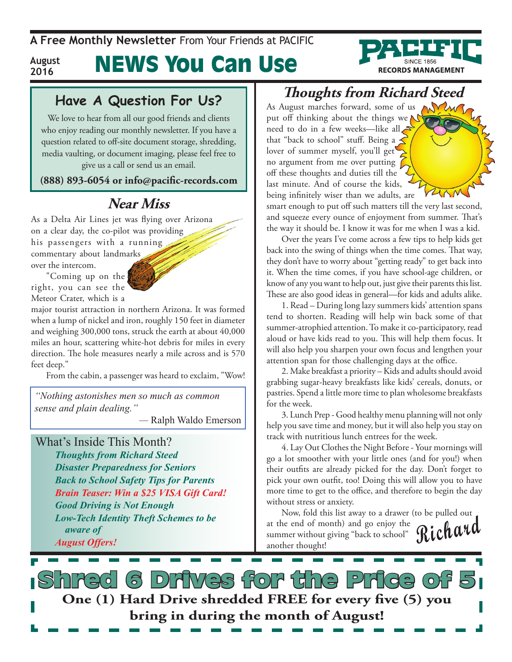**August 2016**

# News You Can Use



We love to hear from all our good friends and clients who enjoy reading our monthly newsletter. If you have a question related to off-site document storage, shredding, media vaulting, or document imaging, please feel free to give us a call or send us an email.

**(888) 893-6054 or info@pacific-records.com**

#### **Near Miss**

As a Delta Air Lines jet was flying over Arizona on a clear day, the co-pilot was providing his passengers with a running commentary about landmarks over the intercom.

"Coming up on the right, you can see the Meteor Crater, which is a

major tourist attraction in northern Arizona. It was formed when a lump of nickel and iron, roughly 150 feet in diameter and weighing 300,000 tons, struck the earth at about 40,000 miles an hour, scattering white-hot debris for miles in every direction. The hole measures nearly a mile across and is 570 feet deep."

From the cabin, a passenger was heard to exclaim, "Wow!

*"Nothing astonishes men so much as common sense and plain dealing."* 

*—* Ralph Waldo Emerson

What's Inside This Month?

*Thoughts from Richard Steed Disaster Preparedness for Seniors Back to School Safety Tips for Parents Brain Teaser: Win a \$25 VISA Gift Card! Good Driving is Not Enough Low-Tech Identity Theft Schemes to be aware of August Offers!*

#### **Thoughts from Richard Steed**

**RECORDS MANAGEMENT** 

As August marches forward, some of us MWW put off thinking about the things we $\bigwedge$ need to do in a few weeks—like all that "back to school" stuff. Being a  $\leq$ lover of summer myself, you'll get no argument from me over putting  $\bigcap$ off these thoughts and duties till the last minute. And of course the kids, being infinitely wiser than we adults, are

smart enough to put off such matters till the very last second, and squeeze every ounce of enjoyment from summer. That's the way it should be. I know it was for me when I was a kid.

Over the years I've come across a few tips to help kids get back into the swing of things when the time comes. That way, they don't have to worry about "getting ready" to get back into it. When the time comes, if you have school-age children, or know of any you want to help out, just give their parents this list. These are also good ideas in general—for kids and adults alike.

1. Read – During long lazy summers kids' attention spans tend to shorten. Reading will help win back some of that summer-atrophied attention. To make it co-participatory, read aloud or have kids read to you. This will help them focus. It will also help you sharpen your own focus and lengthen your attention span for those challenging days at the office.

2. Make breakfast a priority – Kids and adults should avoid grabbing sugar-heavy breakfasts like kids' cereals, donuts, or pastries. Spend a little more time to plan wholesome breakfasts for the week.

3. Lunch Prep - Good healthy menu planning will not only help you save time and money, but it will also help you stay on track with nutritious lunch entrees for the week.

4. Lay Out Clothes the Night Before - Your mornings will go a lot smoother with your little ones (and for you!) when their outfits are already picked for the day. Don't forget to pick your own outfit, too! Doing this will allow you to have more time to get to the office, and therefore to begin the day without stress or anxiety.

**Richard** Now, fold this list away to a drawer (to be pulled out at the end of month) and go enjoy the summer without giving "back to school" another thought!

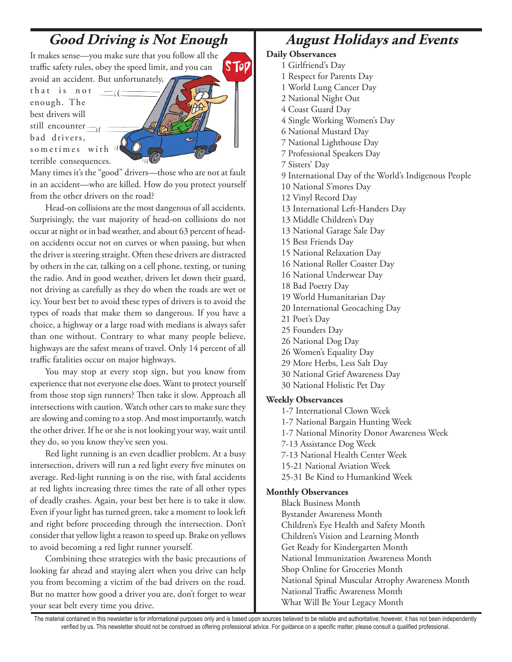#### **Good Driving is Not Enough**

It makes sense—you make sure that you follow all the **STOP** traffic safety rules, obey the speed limit, and you can avoid an accident. But unfortunately,

that is not  $$ enough. The best drivers will still encounter bad drivers, sometimes with  $\mu$ terrible consequences.

Many times it's the "good" drivers—those who are not at fault in an accident—who are killed. How do you protect yourself from the other drivers on the road?

Head-on collisions are the most dangerous of all accidents. Surprisingly, the vast majority of head-on collisions do not occur at night or in bad weather, and about 63 percent of headon accidents occur not on curves or when passing, but when the driver is steering straight. Often these drivers are distracted by others in the car, talking on a cell phone, texting, or tuning the radio. And in good weather, drivers let down their guard, not driving as carefully as they do when the roads are wet or icy. Your best bet to avoid these types of drivers is to avoid the types of roads that make them so dangerous. If you have a choice, a highway or a large road with medians is always safer than one without. Contrary to what many people believe, highways are the safest means of travel. Only 14 percent of all traffic fatalities occur on major highways.

You may stop at every stop sign, but you know from experience that not everyone else does. Want to protect yourself from those stop sign runners? Then take it slow. Approach all intersections with caution. Watch other cars to make sure they are slowing and coming to a stop. And most importantly, watch the other driver. If he or she is not looking your way, wait until they do, so you know they've seen you.

Red light running is an even deadlier problem. At a busy intersection, drivers will run a red light every five minutes on average. Red-light running is on the rise, with fatal accidents at red lights increasing three times the rate of all other types of deadly crashes. Again, your best bet here is to take it slow. Even if your light has turned green, take a moment to look left and right before proceeding through the intersection. Don't consider that yellow light a reason to speed up. Brake on yellows to avoid becoming a red light runner yourself.

Combining these strategies with the basic precautions of looking far ahead and staying alert when you drive can help you from becoming a victim of the bad drivers on the road. But no matter how good a driver you are, don't forget to wear your seat belt every time you drive.

### **August Holidays and Events**

#### **Daily Observances**

- 1 Girlfriend's Day
- 1 Respect for Parents Day
- 1 World Lung Cancer Day
- 2 National Night Out
- 4 Coast Guard Day
- 4 Single Working Women's Day
- 6 National Mustard Day
- 7 National Lighthouse Day
- 7 Professional Speakers Day
- 7 Sisters' Day
- 9 International Day of the World's Indigenous People
- 10 National S'mores Day
- 12 Vinyl Record Day
- 13 International Left-Handers Day
- 13 Middle Children's Day
- 13 National Garage Sale Day
- 15 Best Friends Day
- 15 National Relaxation Day
- 16 National Roller Coaster Day
- 16 National Underwear Day
- 18 Bad Poetry Day
- 19 World Humanitarian Day
- 20 International Geocaching Day
- 21 Poet's Day
- 25 Founders Day
- 26 National Dog Day
- 26 Women's Equality Day
- 29 More Herbs, Less Salt Day
- 30 National Grief Awareness Day
- 30 National Holistic Pet Day

#### **Weekly Observances**

- 1-7 International Clown Week
- 1-7 National Bargain Hunting Week
- 1-7 National Minority Donor Awareness Week
- 7-13 Assistance Dog Week
- 7-13 National Health Center Week
- 15-21 National Aviation Week
- 25-31 Be Kind to Humankind Week

#### **Monthly Observances**

Black Business Month Bystander Awareness Month Children's Eye Health and Safety Month Children's Vision and Learning Month Get Ready for Kindergarten Month National Immunization Awareness Month Shop Online for Groceries Month National Spinal Muscular Atrophy Awareness Month National Traffic Awareness Month What Will Be Your Legacy Month

The material contained in this newsletter is for informational purposes only and is based upon sources believed to be reliable and authoritative; however, it has not been independently verified by us. This newsletter should not be construed as offering professional advice. For guidance on a specific matter, please consult a qualified professional.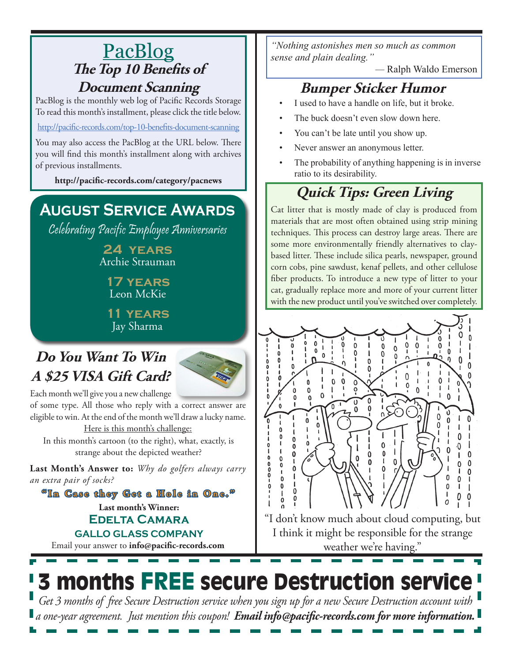#### PacBlog **The Top 10 Benefits of Document Scanning**

PacBlog is the monthly web log of Pacific Records Storage To read this month's installment, please click the title below.

http://pacific-records.com/top-10-benefits-document-scannin[g](http://pacific-records.com/top-10-benefits-document-scanning)

You may also access the PacBlog at the URL below. There you will find this month's installment along with archives of previous installments.

**http://pacific-records.com/category/pacnews**

### **August Service Awards**

Celebrating Pacific Employee Anniversaries

**24 years** Archie Strauman

**17 years** Leon McKie

**11 years** Jay Sharma

### **Do You Want To Win A \$25 VISA Gift Card?**



Each month we'll give you a new challenge of some type. All those who reply with a correct answer are eligible to win. At the end of the month we'll draw a lucky name.

Here is this month's challenge: In this month's cartoon (to the right), what, exactly, is strange about the depicted weather?

**Last Month's Answer to:** *Why do golfers always carry an extra pair of socks?*

**Last month's Winner: Edelta Camara GALLO GLASS COMPANY "In Case they Get a Hole in One."**

Email your answer to **info@pacific-records.com**

*"Nothing astonishes men so much as common sense and plain dealing."* 

*—* Ralph Waldo Emerson

#### **Bumper Sticker Humor**

- I used to have a handle on life, but it broke.
- The buck doesn't even slow down here.
- You can't be late until you show up.
- Never answer an anonymous letter.
- The probability of anything happening is in inverse ratio to its desirability.

# **Quick Tips: Green Living**

Cat litter that is mostly made of clay is produced from materials that are most often obtained using strip mining techniques. This process can destroy large areas. There are some more environmentally friendly alternatives to claybased litter. These include silica pearls, newspaper, ground corn cobs, pine sawdust, kenaf pellets, and other cellulose fiber products. To introduce a new type of litter to your cat, gradually replace more and more of your current litter with the new product until you've switched over completely.



"I don't know much about cloud computing, but I think it might be responsible for the strange weather we're having."

# 3 months FREE secure Destruction service

*Get 3 months of free Secure Destruction service when you sign up for a new Secure Destruction account with a one-year agreement. Just mention this coupon! Email info@pacific-records.com for more information.*